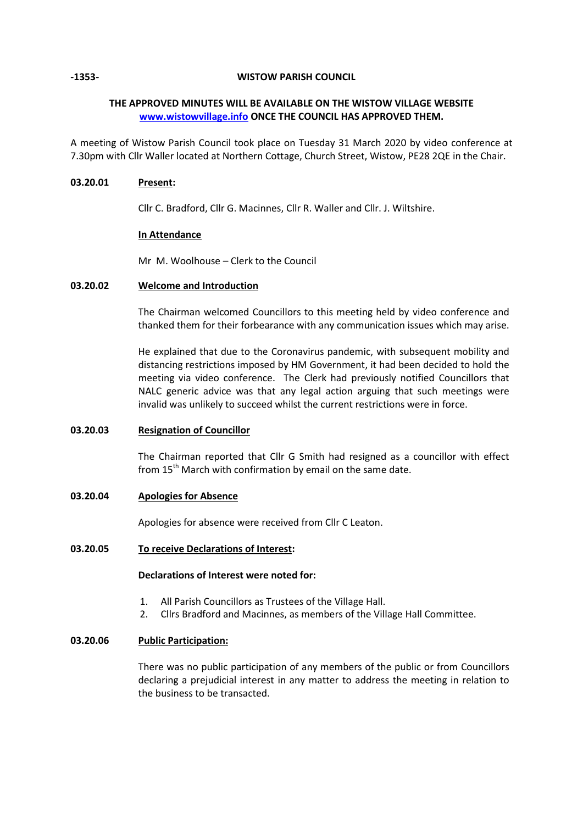#### **-1353- WISTOW PARISH COUNCIL**

# **THE APPROVED MINUTES WILL BE AVAILABLE ON THE WISTOW VILLAGE WEBSITE [www.wistowvillage.info](http://www.wistowvillage.info/) ONCE THE COUNCIL HAS APPROVED THEM.**

A meeting of Wistow Parish Council took place on Tuesday 31 March 2020 by video conference at 7.30pm with Cllr Waller located at Northern Cottage, Church Street, Wistow, PE28 2QE in the Chair.

# **03.20.01 Present:**

Cllr C. Bradford, Cllr G. Macinnes, Cllr R. Waller and Cllr. J. Wiltshire.

# **In Attendance**

Mr M. Woolhouse – Clerk to the Council

# **03.20.02 Welcome and Introduction**

The Chairman welcomed Councillors to this meeting held by video conference and thanked them for their forbearance with any communication issues which may arise.

He explained that due to the Coronavirus pandemic, with subsequent mobility and distancing restrictions imposed by HM Government, it had been decided to hold the meeting via video conference. The Clerk had previously notified Councillors that NALC generic advice was that any legal action arguing that such meetings were invalid was unlikely to succeed whilst the current restrictions were in force.

## **03.20.03 Resignation of Councillor**

The Chairman reported that Cllr G Smith had resigned as a councillor with effect from  $15<sup>th</sup>$  March with confirmation by email on the same date.

# **03.20.04 Apologies for Absence**

Apologies for absence were received from Cllr C Leaton.

## **03.20.05 To receive Declarations of Interest:**

# **Declarations of Interest were noted for:**

- 1. All Parish Councillors as Trustees of the Village Hall.
- 2. Cllrs Bradford and Macinnes, as members of the Village Hall Committee.

# **03.20.06 Public Participation:**

There was no public participation of any members of the public or from Councillors declaring a prejudicial interest in any matter to address the meeting in relation to the business to be transacted.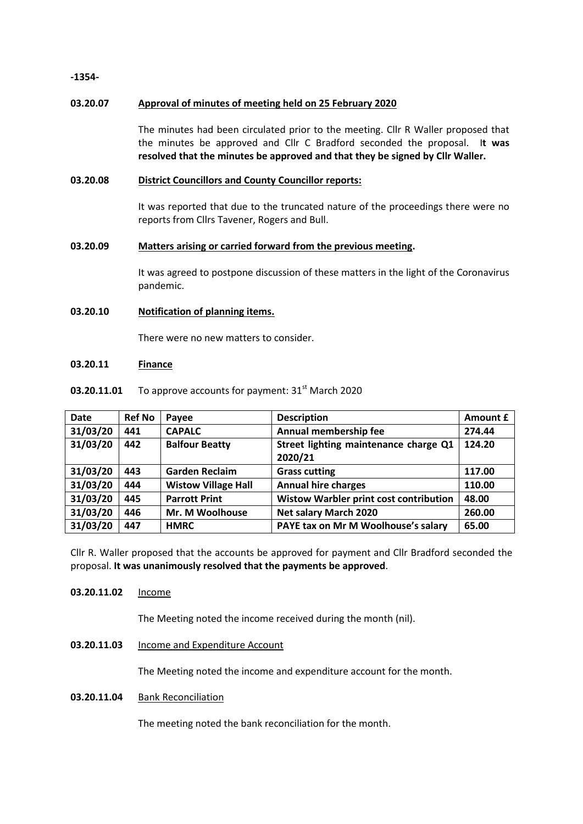**-1354-**

# **03.20.07 Approval of minutes of meeting held on 25 February 2020**

The minutes had been circulated prior to the meeting. Cllr R Waller proposed that the minutes be approved and Cllr C Bradford seconded the proposal. I**t was resolved that the minutes be approved and that they be signed by Cllr Waller.**

# **03.20.08 District Councillors and County Councillor reports:**

It was reported that due to the truncated nature of the proceedings there were no reports from Cllrs Tavener, Rogers and Bull.

# **03.20.09 Matters arising or carried forward from the previous meeting.**

It was agreed to postpone discussion of these matters in the light of the Coronavirus pandemic.

# **03.20.10 Notification of planning items.**

There were no new matters to consider.

#### **03.20.11 Finance**

#### **03.20.11.01** To approve accounts for payment:  $31<sup>st</sup>$  March 2020

| <b>Date</b> | <b>Ref No</b> | Payee                      | <b>Description</b>                               | Amount £ |
|-------------|---------------|----------------------------|--------------------------------------------------|----------|
| 31/03/20    | 441           | <b>CAPALC</b>              | Annual membership fee                            | 274.44   |
| 31/03/20    | 442           | <b>Balfour Beatty</b>      | Street lighting maintenance charge Q1<br>2020/21 | 124.20   |
| 31/03/20    | 443           | <b>Garden Reclaim</b>      | <b>Grass cutting</b>                             | 117.00   |
| 31/03/20    | 444           | <b>Wistow Village Hall</b> | <b>Annual hire charges</b>                       | 110.00   |
| 31/03/20    | 445           | <b>Parrott Print</b>       | Wistow Warbler print cost contribution           | 48.00    |
| 31/03/20    | 446           | Mr. M Woolhouse            | <b>Net salary March 2020</b>                     | 260.00   |
| 31/03/20    | 447           | <b>HMRC</b>                | PAYE tax on Mr M Woolhouse's salary              | 65.00    |

Cllr R. Waller proposed that the accounts be approved for payment and Cllr Bradford seconded the proposal. **It was unanimously resolved that the payments be approved**.

## 03.20.11.02 Income

The Meeting noted the income received during the month (nil).

# **03.20.11.03** Income and Expenditure Account

The Meeting noted the income and expenditure account for the month.

## **03.20.11.04** Bank Reconciliation

The meeting noted the bank reconciliation for the month.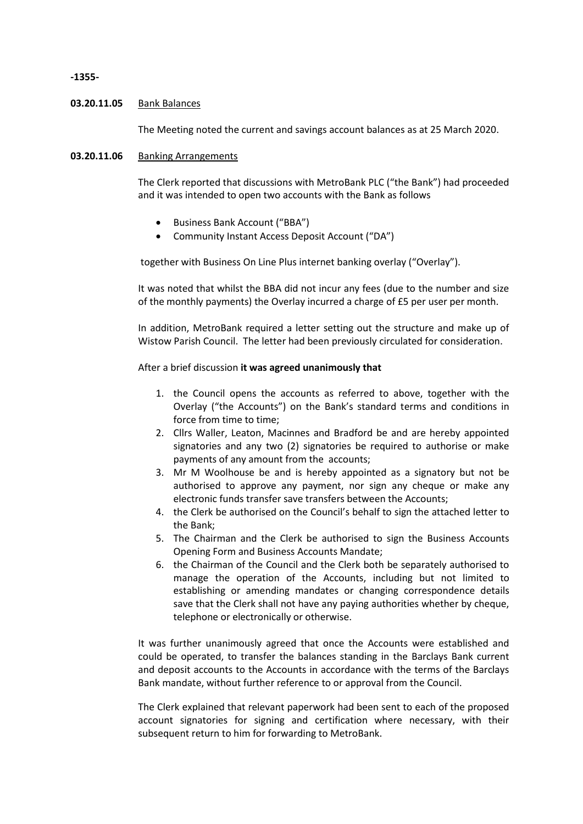#### **-1355-**

#### **03.20.11.05** Bank Balances

The Meeting noted the current and savings account balances as at 25 March 2020.

## **03.20.11.06** Banking Arrangements

The Clerk reported that discussions with MetroBank PLC ("the Bank") had proceeded and it was intended to open two accounts with the Bank as follows

- Business Bank Account ("BBA")
- Community Instant Access Deposit Account ("DA")

together with Business On Line Plus internet banking overlay ("Overlay").

It was noted that whilst the BBA did not incur any fees (due to the number and size of the monthly payments) the Overlay incurred a charge of £5 per user per month.

In addition, MetroBank required a letter setting out the structure and make up of Wistow Parish Council. The letter had been previously circulated for consideration.

#### After a brief discussion **it was agreed unanimously that**

- 1. the Council opens the accounts as referred to above, together with the Overlay ("the Accounts") on the Bank's standard terms and conditions in force from time to time;
- 2. Cllrs Waller, Leaton, Macinnes and Bradford be and are hereby appointed signatories and any two (2) signatories be required to authorise or make payments of any amount from the accounts;
- 3. Mr M Woolhouse be and is hereby appointed as a signatory but not be authorised to approve any payment, nor sign any cheque or make any electronic funds transfer save transfers between the Accounts;
- 4. the Clerk be authorised on the Council's behalf to sign the attached letter to the Bank;
- 5. The Chairman and the Clerk be authorised to sign the Business Accounts Opening Form and Business Accounts Mandate;
- 6. the Chairman of the Council and the Clerk both be separately authorised to manage the operation of the Accounts, including but not limited to establishing or amending mandates or changing correspondence details save that the Clerk shall not have any paying authorities whether by cheque, telephone or electronically or otherwise.

It was further unanimously agreed that once the Accounts were established and could be operated, to transfer the balances standing in the Barclays Bank current and deposit accounts to the Accounts in accordance with the terms of the Barclays Bank mandate, without further reference to or approval from the Council.

The Clerk explained that relevant paperwork had been sent to each of the proposed account signatories for signing and certification where necessary, with their subsequent return to him for forwarding to MetroBank.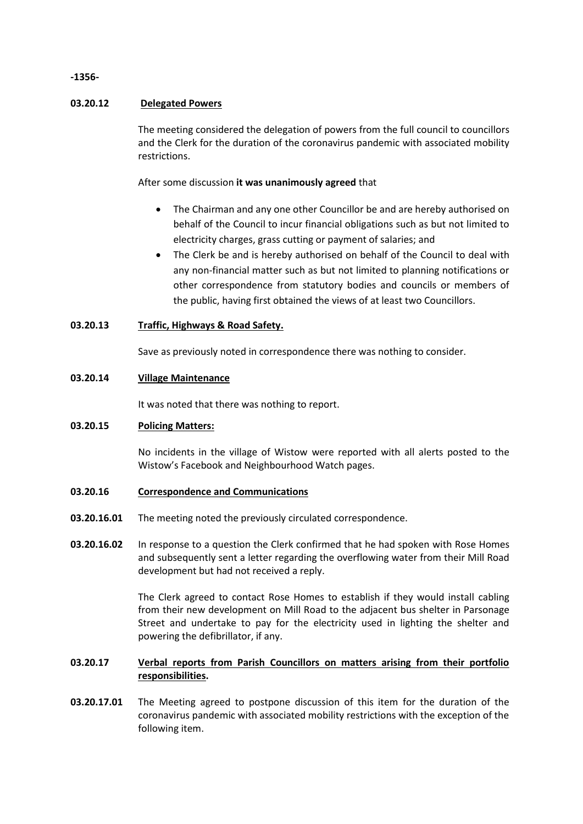# **-1356-**

# **03.20.12 Delegated Powers**

The meeting considered the delegation of powers from the full council to councillors and the Clerk for the duration of the coronavirus pandemic with associated mobility restrictions.

After some discussion **it was unanimously agreed** that

- The Chairman and any one other Councillor be and are hereby authorised on behalf of the Council to incur financial obligations such as but not limited to electricity charges, grass cutting or payment of salaries; and
- The Clerk be and is hereby authorised on behalf of the Council to deal with any non-financial matter such as but not limited to planning notifications or other correspondence from statutory bodies and councils or members of the public, having first obtained the views of at least two Councillors.

# **03.20.13 Traffic, Highways & Road Safety.**

Save as previously noted in correspondence there was nothing to consider.

## **03.20.14 Village Maintenance**

It was noted that there was nothing to report.

## **03.20.15 Policing Matters:**

No incidents in the village of Wistow were reported with all alerts posted to the Wistow's Facebook and Neighbourhood Watch pages.

## **03.20.16 Correspondence and Communications**

- **03.20.16.01** The meeting noted the previously circulated correspondence.
- **03.20.16.02** In response to a question the Clerk confirmed that he had spoken with Rose Homes and subsequently sent a letter regarding the overflowing water from their Mill Road development but had not received a reply.

The Clerk agreed to contact Rose Homes to establish if they would install cabling from their new development on Mill Road to the adjacent bus shelter in Parsonage Street and undertake to pay for the electricity used in lighting the shelter and powering the defibrillator, if any.

#### **03.20.17 Verbal reports from Parish Councillors on matters arising from their portfolio responsibilities.**

**03.20.17.01** The Meeting agreed to postpone discussion of this item for the duration of the coronavirus pandemic with associated mobility restrictions with the exception of the following item.